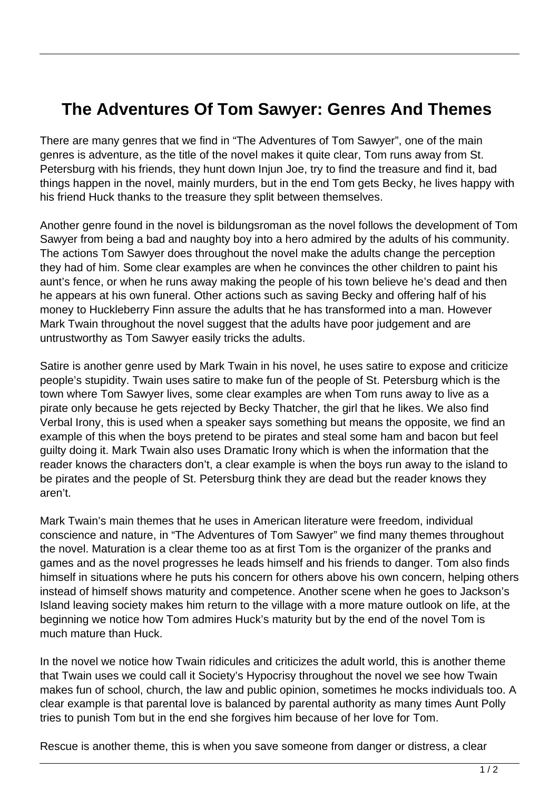## **The Adventures Of Tom Sawyer: Genres And Themes**

There are many genres that we find in "The Adventures of Tom Sawyer", one of the main genres is adventure, as the title of the novel makes it quite clear, Tom runs away from St. Petersburg with his friends, they hunt down Injun Joe, try to find the treasure and find it, bad things happen in the novel, mainly murders, but in the end Tom gets Becky, he lives happy with his friend Huck thanks to the treasure they split between themselves.

Another genre found in the novel is bildungsroman as the novel follows the development of Tom Sawyer from being a bad and naughty boy into a hero admired by the adults of his community. The actions Tom Sawyer does throughout the novel make the adults change the perception they had of him. Some clear examples are when he convinces the other children to paint his aunt's fence, or when he runs away making the people of his town believe he's dead and then he appears at his own funeral. Other actions such as saving Becky and offering half of his money to Huckleberry Finn assure the adults that he has transformed into a man. However Mark Twain throughout the novel suggest that the adults have poor judgement and are untrustworthy as Tom Sawyer easily tricks the adults.

Satire is another genre used by Mark Twain in his novel, he uses satire to expose and criticize people's stupidity. Twain uses satire to make fun of the people of St. Petersburg which is the town where Tom Sawyer lives, some clear examples are when Tom runs away to live as a pirate only because he gets rejected by Becky Thatcher, the girl that he likes. We also find Verbal Irony, this is used when a speaker says something but means the opposite, we find an example of this when the boys pretend to be pirates and steal some ham and bacon but feel guilty doing it. Mark Twain also uses Dramatic Irony which is when the information that the reader knows the characters don't, a clear example is when the boys run away to the island to be pirates and the people of St. Petersburg think they are dead but the reader knows they aren't.

Mark Twain's main themes that he uses in American literature were freedom, individual conscience and nature, in "The Adventures of Tom Sawyer" we find many themes throughout the novel. Maturation is a clear theme too as at first Tom is the organizer of the pranks and games and as the novel progresses he leads himself and his friends to danger. Tom also finds himself in situations where he puts his concern for others above his own concern, helping others instead of himself shows maturity and competence. Another scene when he goes to Jackson's Island leaving society makes him return to the village with a more mature outlook on life, at the beginning we notice how Tom admires Huck's maturity but by the end of the novel Tom is much mature than Huck.

In the novel we notice how Twain ridicules and criticizes the adult world, this is another theme that Twain uses we could call it Society's Hypocrisy throughout the novel we see how Twain makes fun of school, church, the law and public opinion, sometimes he mocks individuals too. A clear example is that parental love is balanced by parental authority as many times Aunt Polly tries to punish Tom but in the end she forgives him because of her love for Tom.

Rescue is another theme, this is when you save someone from danger or distress, a clear